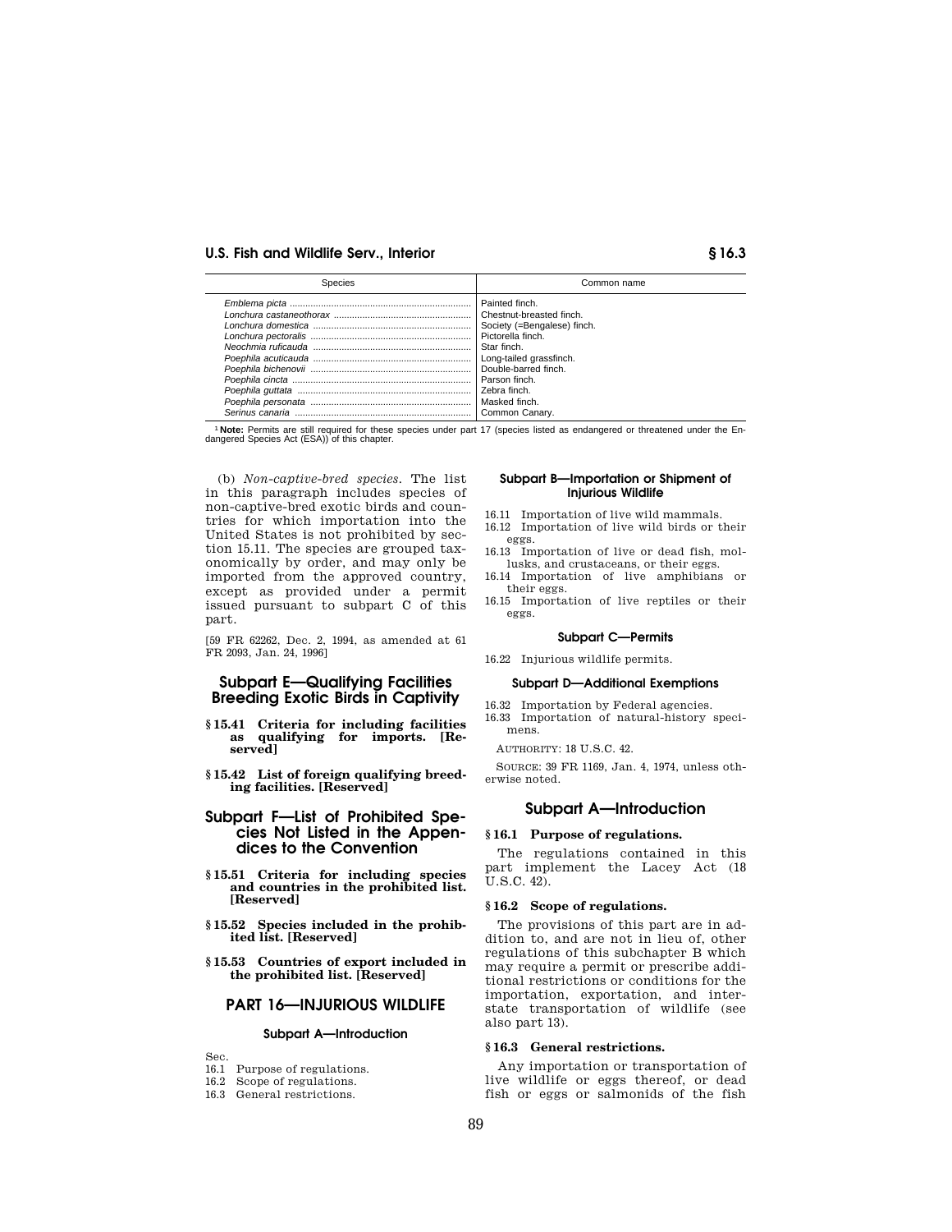| Species | Common name                                                                                                                                                                                          |
|---------|------------------------------------------------------------------------------------------------------------------------------------------------------------------------------------------------------|
|         | Painted finch.<br>Chestnut-breasted finch.<br>Society (=Bengalese) finch.<br>Pictorella finch.<br>Star finch.<br>Long-tailed grassfinch.<br>Double-barred finch.<br>l Zebra finch.<br>Common Canary. |

1 **Note:** Permits are still required for these species under part 17 (species listed as endangered or threatened under the Endangered Species Act (ESA)) of this chapter.

(b) *Non-captive-bred species.* The list in this paragraph includes species of non-captive-bred exotic birds and countries for which importation into the United States is not prohibited by section 15.11. The species are grouped taxonomically by order, and may only be imported from the approved country, except as provided under a permit issued pursuant to subpart C of this part.

[59 FR 62262, Dec. 2, 1994, as amended at 61 FR 2093, Jan. 24, 1996]

# **Subpart E—Qualifying Facilities Breeding Exotic Birds in Captivity**

- **§ 15.41 Criteria for including facilities as qualifying for imports. [Reserved]**
- **§ 15.42 List of foreign qualifying breeding facilities. [Reserved]**

# **Subpart F—List of Prohibited Species Not Listed in the Appendices to the Convention**

- **§ 15.51 Criteria for including species and countries in the prohibited list. [Reserved]**
- **§ 15.52 Species included in the prohibited list. [Reserved]**
- **§ 15.53 Countries of export included in the prohibited list. [Reserved]**

# **PART 16—INJURIOUS WILDLIFE**

#### **Subpart A—Introduction**

Sec.

- 16.1 Purpose of regulations.
- 16.2 Scope of regulations.
- 16.3 General restrictions.

#### **Subpart B—Importation or Shipment of Injurious Wildlife**

- 16.11 Importation of live wild mammals.
- 16.12 Importation of live wild birds or their eggs.
- 16.13 Importation of live or dead fish, mollusks, and crustaceans, or their eggs.
- 16.14 Importation of live amphibians or their eggs.
- 16.15 Importation of live reptiles or their eggs.

#### **Subpart C—Permits**

16.22 Injurious wildlife permits.

#### **Subpart D—Additional Exemptions**

- 16.32 Importation by Federal agencies.
- 16.33 Importation of natural-history specimens.

AUTHORITY: 18 U.S.C. 42.

SOURCE: 39 FR 1169, Jan. 4, 1974, unless otherwise noted.

# **Subpart A—Introduction**

#### **§ 16.1 Purpose of regulations.**

The regulations contained in this part implement the Lacey Act (18 U.S.C. 42).

#### **§ 16.2 Scope of regulations.**

The provisions of this part are in addition to, and are not in lieu of, other regulations of this subchapter B which may require a permit or prescribe additional restrictions or conditions for the importation, exportation, and interstate transportation of wildlife (see also part 13).

#### **§ 16.3 General restrictions.**

Any importation or transportation of live wildlife or eggs thereof, or dead fish or eggs or salmonids of the fish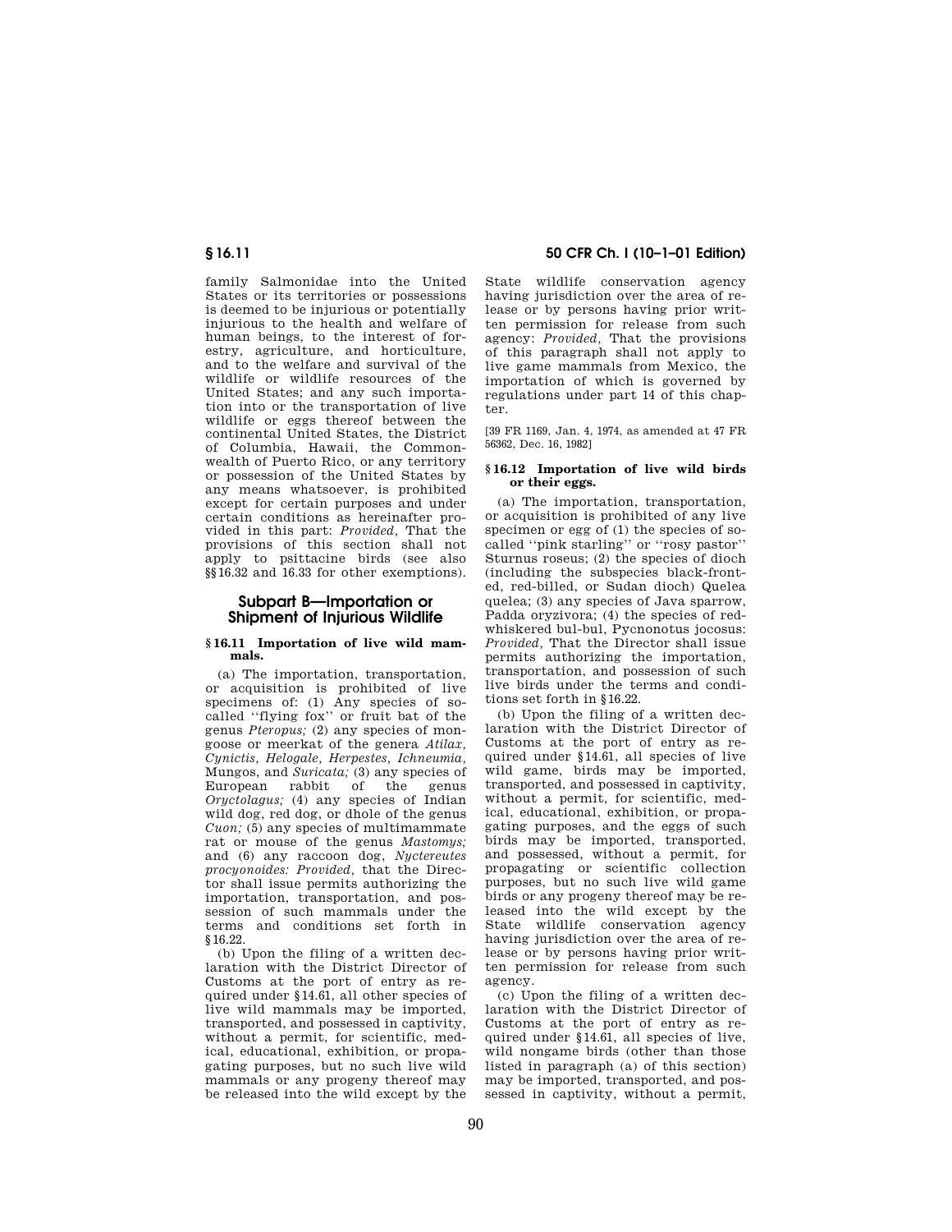family Salmonidae into the United States or its territories or possessions is deemed to be injurious or potentially injurious to the health and welfare of human beings, to the interest of forestry, agriculture, and horticulture, and to the welfare and survival of the wildlife or wildlife resources of the United States; and any such importation into or the transportation of live wildlife or eggs thereof between the continental United States, the District of Columbia, Hawaii, the Commonwealth of Puerto Rico, or any territory or possession of the United States by any means whatsoever, is prohibited except for certain purposes and under certain conditions as hereinafter provided in this part: *Provided,* That the provisions of this section shall not apply to psittacine birds (see also §§ 16.32 and 16.33 for other exemptions).

# **Subpart B—Importation or Shipment of Injurious Wildlife**

## **§ 16.11 Importation of live wild mammals.**

(a) The importation, transportation, or acquisition is prohibited of live specimens of: (1) Any species of socalled ''flying fox'' or fruit bat of the genus *Pteropus;* (2) any species of mongoose or meerkat of the genera *Atilax, Cynictis, Helogale, Herpestes, Ichneumia,* Mungos, and *Suricata;* (3) any species of European rabbit of the genus *Oryctolagus;* (4) any species of Indian wild dog, red dog, or dhole of the genus *Cuon;* (5) any species of multimammate rat or mouse of the genus *Mastomys;* and (6) any raccoon dog, *Nyctereutes procyonoides: Provided,* that the Director shall issue permits authorizing the importation, transportation, and possession of such mammals under the terms and conditions set forth in § 16.22.

(b) Upon the filing of a written declaration with the District Director of Customs at the port of entry as required under § 14.61, all other species of live wild mammals may be imported, transported, and possessed in captivity, without a permit, for scientific, medical, educational, exhibition, or propagating purposes, but no such live wild mammals or any progeny thereof may be released into the wild except by the

State wildlife conservation agency having jurisdiction over the area of release or by persons having prior written permission for release from such agency: *Provided,* That the provisions of this paragraph shall not apply to live game mammals from Mexico, the importation of which is governed by regulations under part 14 of this chapter.

[39 FR 1169, Jan. 4, 1974, as amended at 47 FR 56362, Dec. 16, 1982]

## **§ 16.12 Importation of live wild birds or their eggs.**

(a) The importation, transportation, or acquisition is prohibited of any live specimen or egg of (1) the species of socalled ''pink starling'' or ''rosy pastor'' Sturnus roseus; (2) the species of dioch (including the subspecies black-fronted, red-billed, or Sudan dioch) Quelea quelea; (3) any species of Java sparrow, Padda oryzivora; (4) the species of redwhiskered bul-bul, Pycnonotus jocosus: *Provided,* That the Director shall issue permits authorizing the importation, transportation, and possession of such live birds under the terms and conditions set forth in § 16.22.

(b) Upon the filing of a written declaration with the District Director of Customs at the port of entry as required under § 14.61, all species of live wild game, birds may be imported, transported, and possessed in captivity, without a permit, for scientific, medical, educational, exhibition, or propagating purposes, and the eggs of such birds may be imported, transported, and possessed, without a permit, for propagating or scientific collection purposes, but no such live wild game birds or any progeny thereof may be released into the wild except by the State wildlife conservation agency having jurisdiction over the area of release or by persons having prior written permission for release from such agency.

(c) Upon the filing of a written declaration with the District Director of Customs at the port of entry as required under § 14.61, all species of live, wild nongame birds (other than those listed in paragraph (a) of this section) may be imported, transported, and possessed in captivity, without a permit,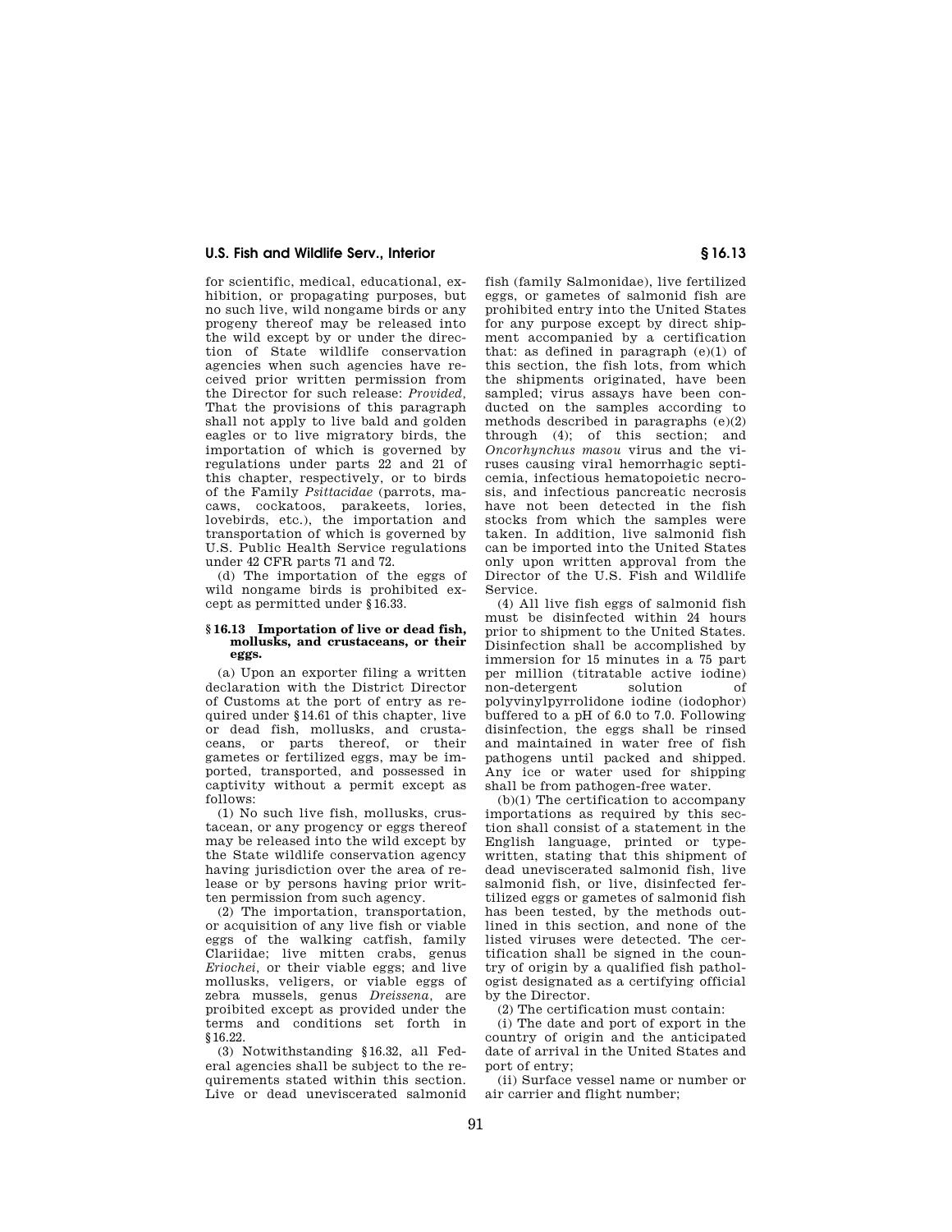for scientific, medical, educational, exhibition, or propagating purposes, but no such live, wild nongame birds or any progeny thereof may be released into the wild except by or under the direction of State wildlife conservation agencies when such agencies have received prior written permission from the Director for such release: *Provided,* That the provisions of this paragraph shall not apply to live bald and golden eagles or to live migratory birds, the importation of which is governed by regulations under parts 22 and 21 of this chapter, respectively, or to birds of the Family *Psittacidae* (parrots, macaws, cockatoos, parakeets, lories, lovebirds, etc.), the importation and transportation of which is governed by U.S. Public Health Service regulations under 42 CFR parts 71 and 72.

(d) The importation of the eggs of wild nongame birds is prohibited except as permitted under § 16.33.

## **§ 16.13 Importation of live or dead fish, mollusks, and crustaceans, or their eggs.**

(a) Upon an exporter filing a written declaration with the District Director of Customs at the port of entry as required under § 14.61 of this chapter, live or dead fish, mollusks, and crustaceans, or parts thereof, or their gametes or fertilized eggs, may be imported, transported, and possessed in captivity without a permit except as follows:

(1) No such live fish, mollusks, crustacean, or any progency or eggs thereof may be released into the wild except by the State wildlife conservation agency having jurisdiction over the area of release or by persons having prior written permission from such agency.

(2) The importation, transportation, or acquisition of any live fish or viable eggs of the walking catfish, family Clariidae; live mitten crabs, genus *Eriochei,* or their viable eggs; and live mollusks, veligers, or viable eggs of zebra mussels, genus *Dreissena,* are proibited except as provided under the terms and conditions set forth in § 16.22.

(3) Notwithstanding § 16.32, all Federal agencies shall be subject to the requirements stated within this section. Live or dead uneviscerated salmonid fish (family Salmonidae), live fertilized eggs, or gametes of salmonid fish are prohibited entry into the United States for any purpose except by direct shipment accompanied by a certification that: as defined in paragraph (e)(1) of this section, the fish lots, from which the shipments originated, have been sampled; virus assays have been conducted on the samples according to methods described in paragraphs (e)(2) through (4); of this section; and *Oncorhynchus masou* virus and the viruses causing viral hemorrhagic septicemia, infectious hematopoietic necrosis, and infectious pancreatic necrosis have not been detected in the fish stocks from which the samples were taken. In addition, live salmonid fish can be imported into the United States only upon written approval from the Director of the U.S. Fish and Wildlife Service.

(4) All live fish eggs of salmonid fish must be disinfected within 24 hours prior to shipment to the United States. Disinfection shall be accomplished by immersion for 15 minutes in a 75 part per million (titratable active iodine) non-detergent solution of polyvinylpyrrolidone iodine (iodophor) buffered to a pH of 6.0 to 7.0. Following disinfection, the eggs shall be rinsed and maintained in water free of fish pathogens until packed and shipped. Any ice or water used for shipping shall be from pathogen-free water.

(b)(1) The certification to accompany importations as required by this section shall consist of a statement in the English language, printed or typewritten, stating that this shipment of dead uneviscerated salmonid fish, live salmonid fish, or live, disinfected fertilized eggs or gametes of salmonid fish has been tested, by the methods outlined in this section, and none of the listed viruses were detected. The certification shall be signed in the country of origin by a qualified fish pathologist designated as a certifying official by the Director.

(2) The certification must contain:

(i) The date and port of export in the country of origin and the anticipated date of arrival in the United States and port of entry;

(ii) Surface vessel name or number or air carrier and flight number;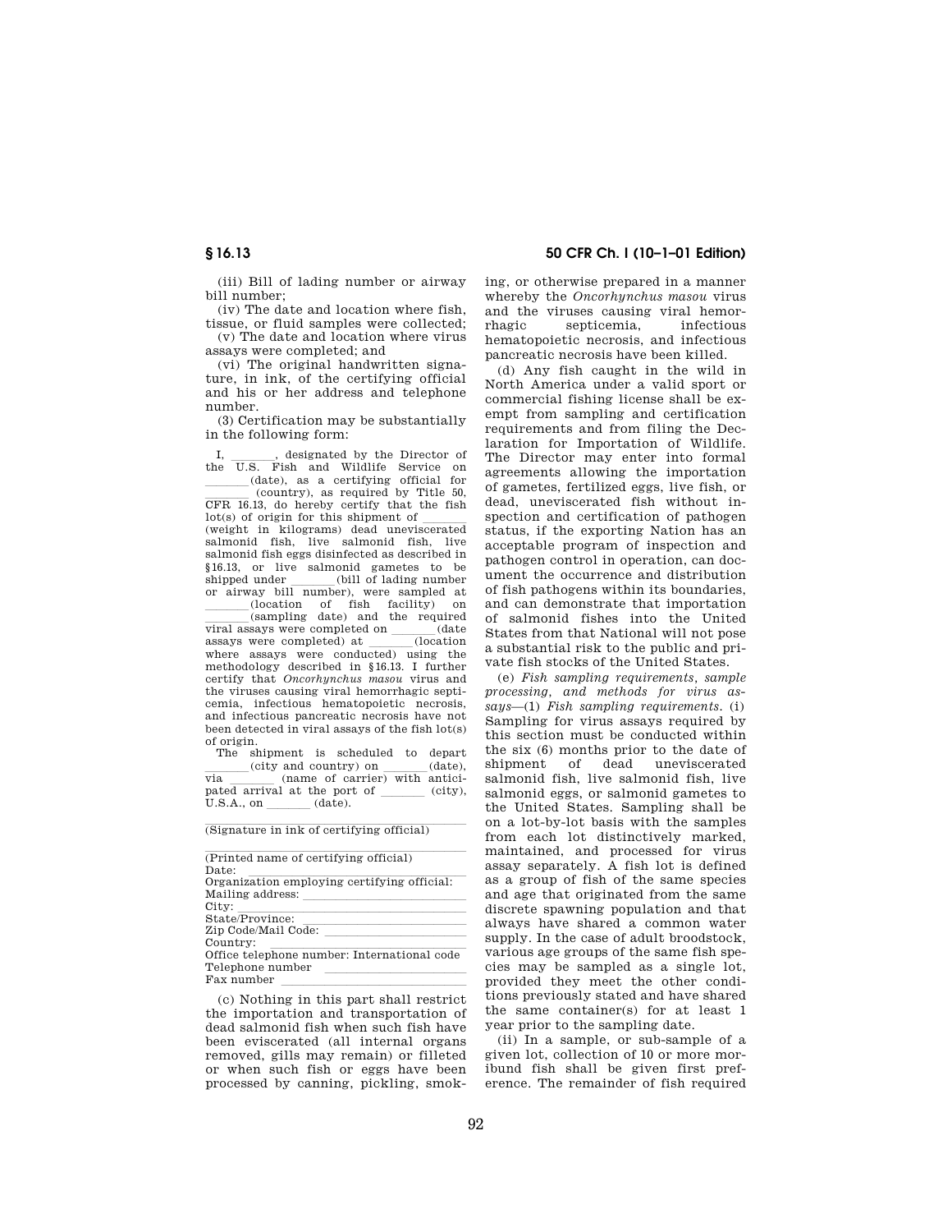(iii) Bill of lading number or airway bill number;

(iv) The date and location where fish, tissue, or fluid samples were collected;

(v) The date and location where virus assays were completed; and

(vi) The original handwritten signature, in ink, of the certifying official and his or her address and telephone number.

(3) Certification may be substantially in the following form:

I, \_\_\_\_\_, designated by the Director of<br>the U.S. Fish and Wildlife Service on  $\left( \text{date} \right)$ , as a certifying official for (country), as required by Title 50, (country), as required by Title 50,<br>CFR 16.13, do hereby certify that the fish  $\frac{1}{\text{det}(s)}$  of origin for this shipment of  $\frac{1}{\text{det}(s)}$ salmonid fish, live salmonid fish, live salmonid fish eggs disinfected as described in § 16.13, or live salmonid gametes to be shipped under \_\_\_\_\_(bill of lading number<br>or airway bill number), were sampled at  $(location of fish facility) on$  $\begin{array}{lll}\n \text{(sampling date)} \text{ and the required} \\
\text{says were completed on} & (\text{date})\n \end{array}$ viral assays were completed on  $\frac{\text{(date)}}{\text{(location)}}$ assays were completed) at \_\_\_\_(location<br>where assays were conducted) using the methodology described in § 16.13. I further certify that *Oncorhynchus masou* virus and the viruses causing viral hemorrhagic septicemia, infectious hematopoietic necrosis, and infectious pancreatic necrosis have not been detected in viral assays of the fish lot(s) of origin.

The shipment is scheduled to depart  $\frac{\text{city and country}}{\text{via}}$  (name of carrier) with anticivia  $\frac{1}{\text{rate of carrier}}$  (name of carrier) with anticipated arrival at the port of  $\frac{\phantom{0}}{\phantom{0}}$  (city),  $U.S.A., on$  (date).

 $\overline{\text{(Signature in ink of certifying official)}}$ 

| (Printed name of certifying official)       |  |
|---------------------------------------------|--|
| Date:                                       |  |
| Organization employing certifying official: |  |
| Mailing address:                            |  |
| City:                                       |  |
| State/Province:                             |  |
| Zip Code/Mail Code:                         |  |
| Country:                                    |  |
| Office telephone number: International code |  |
| Telephone number                            |  |
| Fax number                                  |  |

(c) Nothing in this part shall restrict the importation and transportation of dead salmonid fish when such fish have been eviscerated (all internal organs removed, gills may remain) or filleted or when such fish or eggs have been processed by canning, pickling, smoking, or otherwise prepared in a manner whereby the *Oncorhynchus masou* virus and the viruses causing viral hemorrhagic septicemia, infectious hematopoietic necrosis, and infectious pancreatic necrosis have been killed.

(d) Any fish caught in the wild in North America under a valid sport or commercial fishing license shall be exempt from sampling and certification requirements and from filing the Declaration for Importation of Wildlife. The Director may enter into formal agreements allowing the importation of gametes, fertilized eggs, live fish, or dead, uneviscerated fish without inspection and certification of pathogen status, if the exporting Nation has an acceptable program of inspection and pathogen control in operation, can document the occurrence and distribution of fish pathogens within its boundaries, and can demonstrate that importation of salmonid fishes into the United States from that National will not pose a substantial risk to the public and private fish stocks of the United States.

(e) *Fish sampling requirements, sample processing, and methods for virus assays*—(1) *Fish sampling requirements.* (i) Sampling for virus assays required by this section must be conducted within the six (6) months prior to the date of shipment of dead uneviscerated salmonid fish, live salmonid fish, live salmonid eggs, or salmonid gametes to the United States. Sampling shall be on a lot-by-lot basis with the samples from each lot distinctively marked, maintained, and processed for virus assay separately. A fish lot is defined as a group of fish of the same species and age that originated from the same discrete spawning population and that always have shared a common water supply. In the case of adult broodstock, various age groups of the same fish species may be sampled as a single lot, provided they meet the other conditions previously stated and have shared the same container(s) for at least 1 year prior to the sampling date.

(ii) In a sample, or sub-sample of a given lot, collection of 10 or more moribund fish shall be given first preference. The remainder of fish required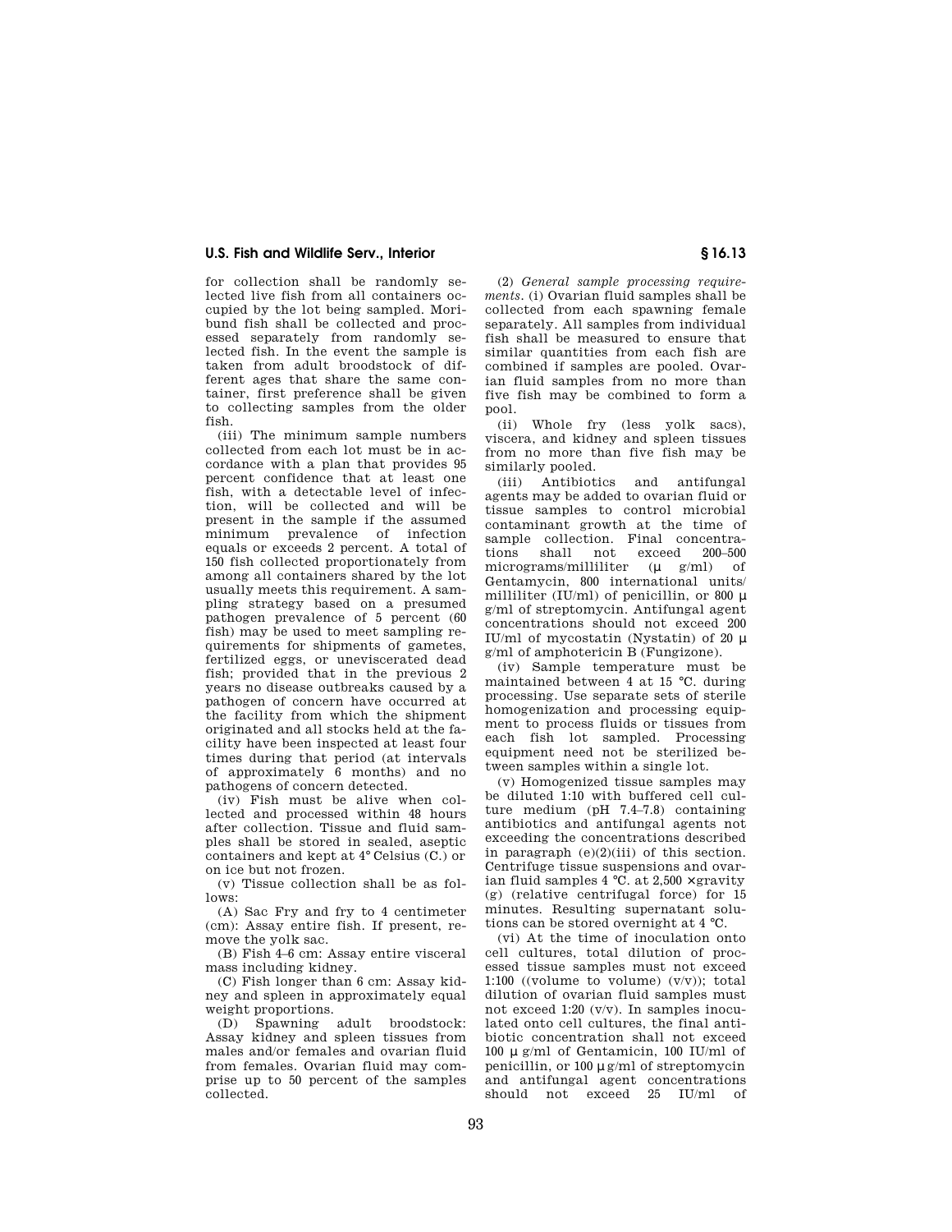for collection shall be randomly selected live fish from all containers occupied by the lot being sampled. Moribund fish shall be collected and processed separately from randomly selected fish. In the event the sample is taken from adult broodstock of different ages that share the same container, first preference shall be given to collecting samples from the older fish.

(iii) The minimum sample numbers collected from each lot must be in accordance with a plan that provides 95 percent confidence that at least one fish, with a detectable level of infection, will be collected and will be present in the sample if the assumed minimum prevalence of infection equals or exceeds 2 percent. A total of 150 fish collected proportionately from among all containers shared by the lot usually meets this requirement. A sampling strategy based on a presumed pathogen prevalence of 5 percent (60 fish) may be used to meet sampling requirements for shipments of gametes, fertilized eggs, or uneviscerated dead fish; provided that in the previous 2 years no disease outbreaks caused by a pathogen of concern have occurred at the facility from which the shipment originated and all stocks held at the facility have been inspected at least four times during that period (at intervals of approximately 6 months) and no pathogens of concern detected.

(iv) Fish must be alive when collected and processed within 48 hours after collection. Tissue and fluid samples shall be stored in sealed, aseptic containers and kept at 4° Celsius (C.) or on ice but not frozen.

(v) Tissue collection shall be as follows:

(A) Sac Fry and fry to 4 centimeter (cm): Assay entire fish. If present, remove the yolk sac.

(B) Fish 4–6 cm: Assay entire visceral mass including kidney.

(C) Fish longer than 6 cm: Assay kidney and spleen in approximately equal weight proportions.

(D) Spawning adult broodstock: Assay kidney and spleen tissues from males and/or females and ovarian fluid from females. Ovarian fluid may comprise up to 50 percent of the samples collected.

(2) *General sample processing requirements.* (i) Ovarian fluid samples shall be collected from each spawning female separately. All samples from individual fish shall be measured to ensure that similar quantities from each fish are combined if samples are pooled. Ovarian fluid samples from no more than five fish may be combined to form a pool.

(ii) Whole fry (less yolk sacs), viscera, and kidney and spleen tissues from no more than five fish may be similarly pooled.

(iii) Antibiotics and antifungal agents may be added to ovarian fluid or tissue samples to control microbial contaminant growth at the time of sample collection. Final concentrations shall not exceed 200–500 micrograms/milliliter ( $\mu$  g/ml) of Gentamycin, 800 international units/ milliliter (IU/ml) of penicillin, or 800  $\mu$ g/ml of streptomycin. Antifungal agent concentrations should not exceed 200 IU/ml of mycostatin (Nystatin) of 20  $\mu$ g/ml of amphotericin B (Fungizone).

(iv) Sample temperature must be maintained between 4 at 15 °C. during processing. Use separate sets of sterile homogenization and processing equipment to process fluids or tissues from each fish lot sampled. Processing equipment need not be sterilized between samples within a single lot.

(v) Homogenized tissue samples may be diluted 1:10 with buffered cell culture medium (pH 7.4–7.8) containing antibiotics and antifungal agents not exceeding the concentrations described in paragraph  $(e)(2)(iii)$  of this section. Centrifuge tissue suspensions and ovarian fluid samples  $4^{\circ}$ C. at  $2,500 \times$  gravity (g) (relative centrifugal force) for 15 minutes. Resulting supernatant solutions can be stored overnight at 4 °C.

(vi) At the time of inoculation onto cell cultures, total dilution of processed tissue samples must not exceed 1:100 ((volume to volume)  $(v/v)$ ); total dilution of ovarian fluid samples must not exceed 1:20 (v/v). In samples inoculated onto cell cultures, the final antibiotic concentration shall not exceed 100 µ g/ml of Gentamicin, 100 IU/ml of penicillin, or 100 µ g/ml of streptomycin and antifungal agent concentrations should not exceed 25 IU/ml of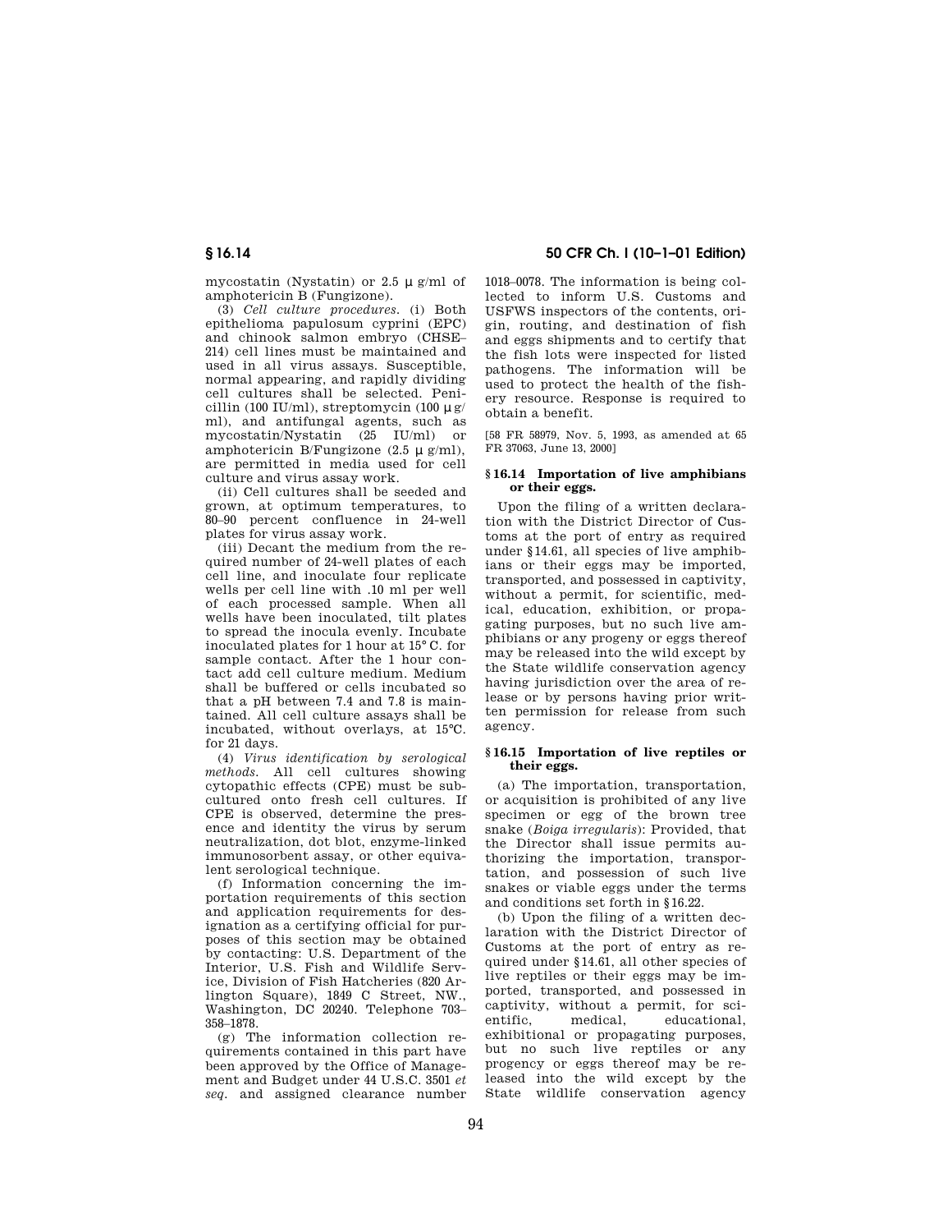mycostatin (Nystatin) or 2.5  $\mu$  g/ml of amphotericin B (Fungizone).

(3) *Cell culture procedures.* (i) Both epithelioma papulosum cyprini (EPC) and chinook salmon embryo (CHSE– 214) cell lines must be maintained and used in all virus assays. Susceptible, normal appearing, and rapidly dividing cell cultures shall be selected. Penicillin (100 IU/ml), streptomycin (100  $\mu$  g/ ml), and antifungal agents, such as mycostatin/Nystatin (25 IU/ml) or amphotericin B/Fungizone  $(2.5 \mu g/ml)$ , are permitted in media used for cell culture and virus assay work.

(ii) Cell cultures shall be seeded and grown, at optimum temperatures, to 80–90 percent confluence in 24-well plates for virus assay work.

(iii) Decant the medium from the required number of 24-well plates of each cell line, and inoculate four replicate wells per cell line with .10 ml per well of each processed sample. When all wells have been inoculated, tilt plates to spread the inocula evenly. Incubate inoculated plates for 1 hour at 15° C. for sample contact. After the 1 hour contact add cell culture medium. Medium shall be buffered or cells incubated so that a pH between 7.4 and 7.8 is maintained. All cell culture assays shall be incubated, without overlays, at 15°C. for 21 days.

(4) *Virus identification by serological methods.* All cell cultures showing cytopathic effects (CPE) must be subcultured onto fresh cell cultures. If CPE is observed, determine the presence and identity the virus by serum neutralization, dot blot, enzyme-linked immunosorbent assay, or other equivalent serological technique.

(f) Information concerning the importation requirements of this section and application requirements for designation as a certifying official for purposes of this section may be obtained by contacting: U.S. Department of the Interior, U.S. Fish and Wildlife Service, Division of Fish Hatcheries (820 Arlington Square), 1849 C Street, NW., Washington, DC 20240. Telephone 703– 358–1878.

(g) The information collection requirements contained in this part have been approved by the Office of Management and Budget under 44 U.S.C. 3501 *et seq.* and assigned clearance number 1018–0078. The information is being collected to inform U.S. Customs and USFWS inspectors of the contents, origin, routing, and destination of fish and eggs shipments and to certify that the fish lots were inspected for listed pathogens. The information will be used to protect the health of the fishery resource. Response is required to obtain a benefit.

[58 FR 58979, Nov. 5, 1993, as amended at 65 FR 37063, June 13, 2000]

## **§ 16.14 Importation of live amphibians or their eggs.**

Upon the filing of a written declaration with the District Director of Customs at the port of entry as required under § 14.61, all species of live amphibians or their eggs may be imported, transported, and possessed in captivity, without a permit, for scientific, medical, education, exhibition, or propagating purposes, but no such live amphibians or any progeny or eggs thereof may be released into the wild except by the State wildlife conservation agency having jurisdiction over the area of release or by persons having prior written permission for release from such agency.

## **§ 16.15 Importation of live reptiles or their eggs.**

(a) The importation, transportation, or acquisition is prohibited of any live specimen or egg of the brown tree snake (*Boiga irregularis*): Provided, that the Director shall issue permits authorizing the importation, transportation, and possession of such live snakes or viable eggs under the terms and conditions set forth in § 16.22.

(b) Upon the filing of a written declaration with the District Director of Customs at the port of entry as required under § 14.61, all other species of live reptiles or their eggs may be imported, transported, and possessed in captivity, without a permit, for scientific, medical, educational, exhibitional or propagating purposes, but no such live reptiles or any progency or eggs thereof may be released into the wild except by the State wildlife conservation agency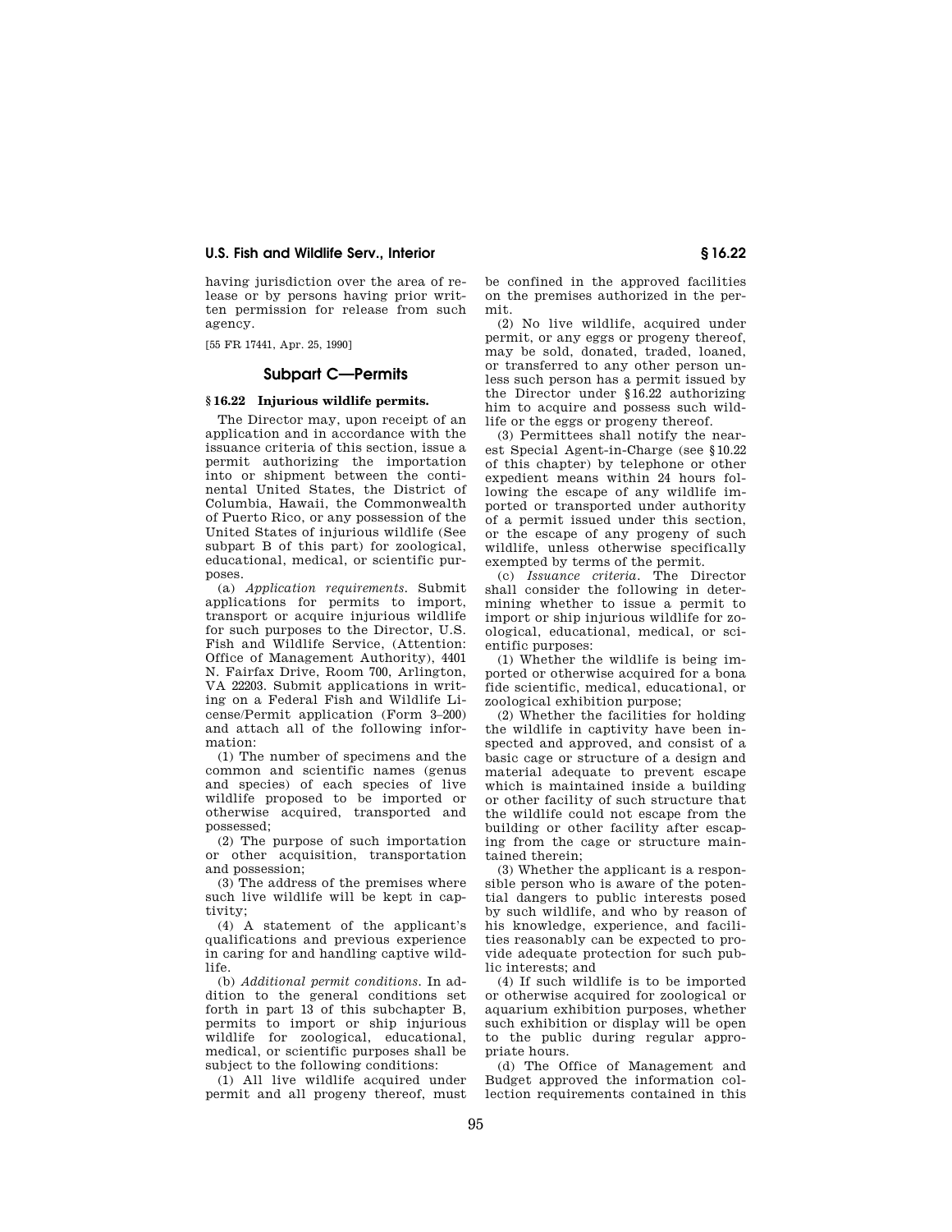having jurisdiction over the area of release or by persons having prior written permission for release from such agency.

[55 FR 17441, Apr. 25, 1990]

# **Subpart C—Permits**

# **§ 16.22 Injurious wildlife permits.**

The Director may, upon receipt of an application and in accordance with the issuance criteria of this section, issue a permit authorizing the importation into or shipment between the continental United States, the District of Columbia, Hawaii, the Commonwealth of Puerto Rico, or any possession of the United States of injurious wildlife (See subpart B of this part) for zoological, educational, medical, or scientific purposes.

(a) *Application requirements.* Submit applications for permits to import, transport or acquire injurious wildlife for such purposes to the Director, U.S. Fish and Wildlife Service, (Attention: Office of Management Authority), 4401 N. Fairfax Drive, Room 700, Arlington, VA 22203. Submit applications in writing on a Federal Fish and Wildlife License/Permit application (Form 3–200) and attach all of the following information:

(1) The number of specimens and the common and scientific names (genus and species) of each species of live wildlife proposed to be imported or otherwise acquired, transported and possessed;

(2) The purpose of such importation or other acquisition, transportation and possession;

(3) The address of the premises where such live wildlife will be kept in captivity;

(4) A statement of the applicant's qualifications and previous experience in caring for and handling captive wildlife.

(b) *Additional permit conditions.* In addition to the general conditions set forth in part 13 of this subchapter B, permits to import or ship injurious wildlife for zoological, educational, medical, or scientific purposes shall be subject to the following conditions:

(1) All live wildlife acquired under permit and all progeny thereof, must be confined in the approved facilities on the premises authorized in the permit.

(2) No live wildlife, acquired under permit, or any eggs or progeny thereof, may be sold, donated, traded, loaned, or transferred to any other person unless such person has a permit issued by the Director under § 16.22 authorizing him to acquire and possess such wildlife or the eggs or progeny thereof.

(3) Permittees shall notify the nearest Special Agent-in-Charge (see § 10.22 of this chapter) by telephone or other expedient means within 24 hours following the escape of any wildlife imported or transported under authority of a permit issued under this section, or the escape of any progeny of such wildlife, unless otherwise specifically exempted by terms of the permit.

(c) *Issuance criteria.* The Director shall consider the following in determining whether to issue a permit to import or ship injurious wildlife for zoological, educational, medical, or scientific purposes:

(1) Whether the wildlife is being imported or otherwise acquired for a bona fide scientific, medical, educational, or zoological exhibition purpose;

(2) Whether the facilities for holding the wildlife in captivity have been inspected and approved, and consist of a basic cage or structure of a design and material adequate to prevent escape which is maintained inside a building or other facility of such structure that the wildlife could not escape from the building or other facility after escaping from the cage or structure maintained therein;

(3) Whether the applicant is a responsible person who is aware of the potential dangers to public interests posed by such wildlife, and who by reason of his knowledge, experience, and facilities reasonably can be expected to provide adequate protection for such public interests; and

(4) If such wildlife is to be imported or otherwise acquired for zoological or aquarium exhibition purposes, whether such exhibition or display will be open to the public during regular appropriate hours.

(d) The Office of Management and Budget approved the information collection requirements contained in this